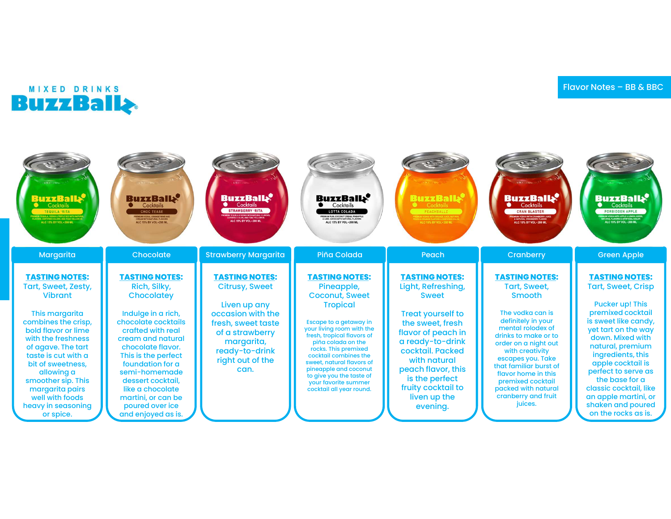

| <b>BuzzBalls</b><br>Cocktails<br><b>TEQUILA 'RITA'</b><br>TEQUILA, VOOKA & TRIFLE SEC WITH NATURE<br>15. CERTIFIED COLORS, AND FOAC YELLOW FALC 15% BY VOL + 200 ML                                                                                                                                                                 | <b>BuzzBalls</b><br>Cocktails<br><b>CHOC TEASE</b><br><b>REMUM VODKA, ORANGE WHE AND<br/>CREAM WITH NATURAL FLAVORS</b><br>ALC 15% BY VOL - 200 ML                                                                                                                                                                                         | <b>BuzzBalls</b><br>Cocktails<br><b>STRAWBERRY 'RITA</b><br>PREMIUM TEQUILA & VODKA WITH NATURAL FLAVORS.<br>CERTIFIED COLOR, AND FDAC YELLOW IS<br>ALC 15% BY VOL - 200 ML              | <b>BuzzBalls</b><br>Cocktails<br><b>LOTTA COLADA</b><br>PREMIUM RUM, COCONUT CREAM, PINEAPPLE<br>& LIME JUICES WITH NATURAL FLAVORS<br>ALC 15% BY VOL - 200 ML                                                                                                                                                                                                                    | <sup>ل</sup> ډBuzzBall<br>Cocktails<br>PEACHBALLZ<br>ALC 15% BY VOL + 200 ML                                                                                                                                                                                                        | <b>BuzzBalls</b><br>Cocktails<br><b>CRAN BLASTER</b><br>.<br>REMIUM VODKA WITH CRANBERRY JUICE<br><b>A NATURAL CRANDERRY FLAVOR<br/>ALC 15% BY VOL + 200 ML</b>                                                                                                                                                                                     | <b>BuzzBalls</b><br>Cocktails<br><b>FORBIDDEN APPLE</b><br>PREMIUM VOOKA WITH APPLE & LEMON JUICES.<br>NATURAL FLAVORS & ARTIFICIAL OOLOR<br>ALC 15% BY VOL = 200 ML                                                                                                                                                                                                      |
|-------------------------------------------------------------------------------------------------------------------------------------------------------------------------------------------------------------------------------------------------------------------------------------------------------------------------------------|--------------------------------------------------------------------------------------------------------------------------------------------------------------------------------------------------------------------------------------------------------------------------------------------------------------------------------------------|------------------------------------------------------------------------------------------------------------------------------------------------------------------------------------------|-----------------------------------------------------------------------------------------------------------------------------------------------------------------------------------------------------------------------------------------------------------------------------------------------------------------------------------------------------------------------------------|-------------------------------------------------------------------------------------------------------------------------------------------------------------------------------------------------------------------------------------------------------------------------------------|-----------------------------------------------------------------------------------------------------------------------------------------------------------------------------------------------------------------------------------------------------------------------------------------------------------------------------------------------------|---------------------------------------------------------------------------------------------------------------------------------------------------------------------------------------------------------------------------------------------------------------------------------------------------------------------------------------------------------------------------|
| Margarita                                                                                                                                                                                                                                                                                                                           | Chocolate                                                                                                                                                                                                                                                                                                                                  | <b>Strawberry Margarita</b>                                                                                                                                                              | Piña Colada                                                                                                                                                                                                                                                                                                                                                                       | Peach                                                                                                                                                                                                                                                                               | Cranberry                                                                                                                                                                                                                                                                                                                                           | <b>Green Apple</b>                                                                                                                                                                                                                                                                                                                                                        |
| <b>TASTING NOTES:</b><br>Tart, Sweet, Zesty,<br><b>Vibrant</b><br>This margarita<br>combines the crisp,<br>bold flavor or lime<br>with the freshness<br>of agave. The tart<br>taste is cut with a<br>bit of sweetness.<br>allowing a<br>smoother sip. This<br>margarita pairs<br>well with foods<br>heavy in seasoning<br>or spice. | <b>TASTING NOTES:</b><br><b>Rich, Silky,</b><br>Chocolatey<br>Indulge in a rich,<br>chocolate cocktails<br>crafted with real<br>cream and natural<br>chocolate flavor.<br>This is the perfect<br>foundation for a<br>semi-homemade<br>dessert cocktail.<br>like a chocolate<br>martini, or can be<br>poured over ice<br>and enjoyed as is. | <b>TASTING NOTES:</b><br><b>Citrusy, Sweet</b><br>Liven up any<br>occasion with the<br>fresh, sweet taste<br>of a strawberry<br>margarita,<br>ready-to-drink<br>right out of the<br>can. | <b>TASTING NOTES:</b><br>Pineapple,<br><b>Coconut, Sweet</b><br><b>Tropical</b><br>Escape to a getaway in<br>your living room with the<br>fresh, tropical flavors of<br>piña colada on the<br>rocks. This premixed<br>cocktail combines the<br>sweet, natural flavors of<br>pineapple and coconut<br>to give you the taste of<br>your favorite summer<br>cocktail all year round. | <b>TASTING NOTES:</b><br>Light, Refreshing,<br><b>Sweet</b><br><b>Treat yourself to</b><br>the sweet, fresh<br>flavor of peach in<br>a ready-to-drink<br>cocktail. Packed<br>with natural<br>peach flavor, this<br>is the perfect<br>fruity cocktail to<br>liven up the<br>evening. | <b>TASTING NOTES:</b><br><b>Tart, Sweet,</b><br><b>Smooth</b><br>The vodka can is<br>definitely in your<br>mental rolodex of<br>drinks to make or to<br>order on a night out<br>with creativity<br>escapes you. Take<br>that familiar burst of<br>flavor home in this<br>premixed cocktail<br>packed with natural<br>cranberry and fruit<br>juices. | <b>TASTING NOTES:</b><br><b>Tart, Sweet, Crisp</b><br><b>Pucker up! This</b><br>premixed cocktail<br>is sweet like candy,<br>yet tart on the way<br>down. Mixed with<br>natural, premium<br>ingredients, this<br>apple cocktail is<br>perfect to serve as<br>the base for a<br>classic cocktail, like<br>an apple martini, or<br>shaken and poured<br>on the rocks as is. |